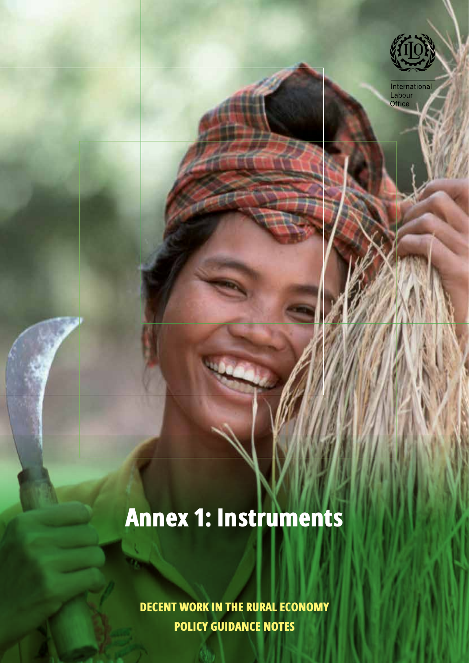

# International<br>Labour<br>Office

# **Annex 1: Instruments**

**POLICY GUIDANCE NOTES DECENT WORK IN THE RURAL ECONOMY**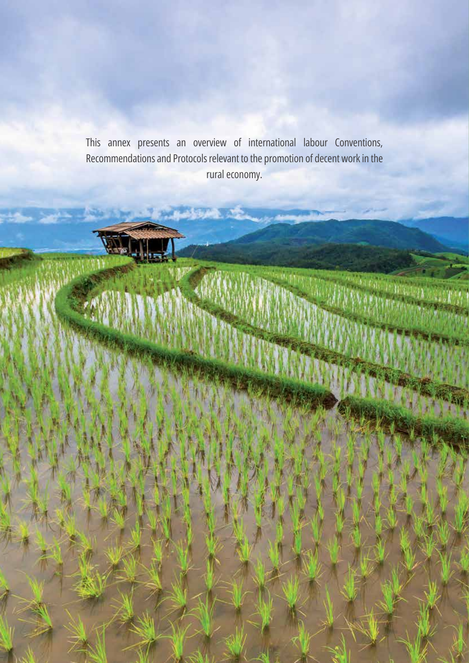This annex presents an overview of international labour Conventions, Recommendations and Protocols relevant to the promotion of decent work in the rural economy.

**ASALA**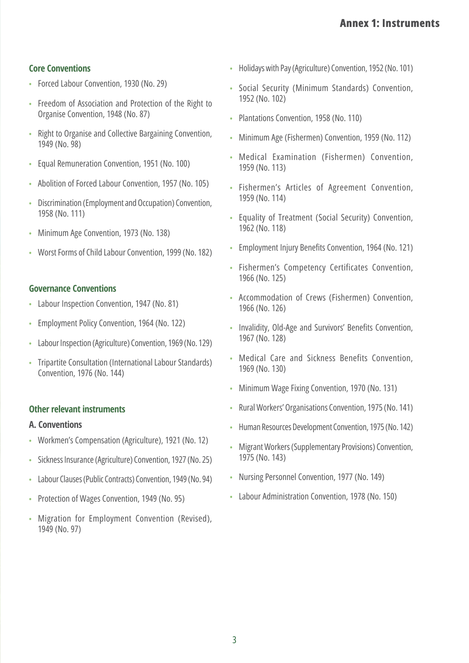# **Core Conventions**

- **•** [Forced Labour Convention, 1930 \(No. 29\)](http://www.ilo.org/dyn/normlex/en/f?p=NORMLEXPUB:12100:0::NO:12100:P12100_INSTRUMENT_ID:312174:NO)
- **•** [Freedom of Association and Protection of the Right to](http://www.ilo.org/dyn/normlex/en/f?p=NORMLEXPUB:12100:0::NO:12100:P12100_INSTRUMENT_ID:312232:NO) [Organise Convention, 1948 \(No. 87\)](http://www.ilo.org/dyn/normlex/en/f?p=NORMLEXPUB:12100:0::NO:12100:P12100_INSTRUMENT_ID:312232:NO)
- **•** [Right to Organise and Collective Bargaining Convention,](http://www.ilo.org/dyn/normlex/en/f?p=NORMLEXPUB:12100:0::NO:12100:P12100_INSTRUMENT_ID:312243:NO) [1949 \(No. 98\)](http://www.ilo.org/dyn/normlex/en/f?p=NORMLEXPUB:12100:0::NO:12100:P12100_INSTRUMENT_ID:312243:NO)
- **•** [Equal Remuneration Convention, 1951 \(No. 100\)](http://www.ilo.org/dyn/normlex/en/f?p=NORMLEXPUB:12100:0::NO:12100:P12100_INSTRUMENT_ID:312245:NO)
- **•** [Abolition of Forced Labour Convention, 1957 \(No. 105\)](http://www.ilo.org/dyn/normlex/en/f?p=NORMLEXPUB:12100:0::NO:12100:P12100_INSTRUMENT_ID:312250:NO)
- **•** [Discrimination \(Employment and Occupation\) Convention,](http://www.ilo.org/dyn/normlex/en/f?p=NORMLEXPUB:12100:0::NO:12100:P12100_INSTRUMENT_ID:312256:NO) [1958 \(No. 111\)](http://www.ilo.org/dyn/normlex/en/f?p=NORMLEXPUB:12100:0::NO:12100:P12100_INSTRUMENT_ID:312256:NO)
- **•** [Minimum Age Convention, 1973 \(No. 138\)](http://www.ilo.org/dyn/normlex/en/f?p=NORMLEXPUB:12100:0::NO:12100:P12100_INSTRUMENT_ID:312283:NO)
- **•** [Worst Forms of Child Labour Convention, 1999 \(No. 182\)](http://www.ilo.org/dyn/normlex/en/f?p=NORMLEXPUB:12100:0::NO:12100:P12100_INSTRUMENT_ID:312327:NO)

#### **Governance Conventions**

- **•** [Labour Inspection Convention, 1947 \(No. 81\)](http://www.ilo.org/dyn/normlex/en/f?p=NORMLEXPUB:12100:0::NO:12100:P12100_INSTRUMENT_ID:312226:NO)
- **•** [Employment Policy Convention, 1964 \(No. 122\)](http://www.ilo.org/dyn/normlex/en/f?p=NORMLEXPUB:12100:0::NO:12100:P12100_INSTRUMENT_ID:312267:NO)
- **•** [Labour Inspection \(Agriculture\) Convention, 1969 \(No. 129\)](http://www.ilo.org/dyn/normlex/en/f?p=NORMLEXPUB:12100:0::NO:12100:P12100_INSTRUMENT_ID:312274:NO)
- **•** [Tripartite Consultation \(International Labour Standards\)](http://www.ilo.org/dyn/normlex/en/f?p=NORMLEXPUB:12100:0::NO:12100:P12100_INSTRUMENT_ID:312289:NO) [Convention, 1976 \(No. 144\)](http://www.ilo.org/dyn/normlex/en/f?p=NORMLEXPUB:12100:0::NO:12100:P12100_INSTRUMENT_ID:312289:NO)

## **Other relevant instruments**

## **A. Conventions**

- **•** [Workmen's Compensation \(Agriculture\), 1921 \(No. 12\)](http://www.ilo.org/dyn/normlex/en/f?p=NORMLEXPUB:12100:0::NO:12100:P12100_INSTRUMENT_ID:312157:NO)
- **•** [Sickness Insurance \(Agriculture\) Convention, 1927 \(No. 25\)](http://www.ilo.org/dyn/normlex/en/f?p=NORMLEXPUB:12100:0::NO:12100:P12100_INSTRUMENT_ID:312170:NO)
- **•** [Labour Clauses \(Public Contracts\) Convention, 1949 \(No. 94\)](http://www.ilo.org/dyn/normlex/en/f?p=NORMLEXPUB:12100:0::NO:12100:P12100_INSTRUMENT_ID:312239:NO)
- **•** [Protection of Wages Convention, 1949 \(No. 95\)](http://www.ilo.org/dyn/normlex/en/f?p=NORMLEXPUB:12100:0::NO:12100:P12100_INSTRUMENT_ID:312240:NO)
- **•** [Migration for Employment Convention \(Revised\),](http://www.ilo.org/dyn/normlex/en/f?p=NORMLEXPUB:12100:0::NO:12100:P12100_INSTRUMENT_ID:312242:NO) [1949 \(No. 97\)](http://www.ilo.org/dyn/normlex/en/f?p=NORMLEXPUB:12100:0::NO:12100:P12100_INSTRUMENT_ID:312242:NO)
- **•** [Holidays with Pay \(Agriculture\) Convention, 1952 \(No. 101\)](http://www.ilo.org/dyn/normlex/en/f?p=NORMLEXPUB:12100:0::NO:12100:P12100_INSTRUMENT_ID:312246:NO)
- **•** [Social Security \(Minimum Standards\) Convention,](http://www.ilo.org/dyn/normlex/en/f?p=NORMLEXPUB:12100:0::NO:12100:P12100_INSTRUMENT_ID:312247:NO) [1952 \(No. 102\)](http://www.ilo.org/dyn/normlex/en/f?p=NORMLEXPUB:12100:0::NO:12100:P12100_INSTRUMENT_ID:312247:NO)
- **•** [Plantations Convention, 1958 \(No. 110\)](http://www.ilo.org/dyn/normlex/en/f?p=NORMLEXPUB:12100:0::NO:12100:P12100_INSTRUMENT_ID:312255:NO)
- **•** [Minimum Age \(Fishermen\) Convention, 1959 \(No. 112\)](http://www.ilo.org/dyn/normlex/en/f?p=NORMLEXPUB:12100:0::NO:12100:P12100_INSTRUMENT_ID:312257:NO)
- **•** [Medical Examination \(Fishermen\) Convention,](http://www.ilo.org/dyn/normlex/en/f?p=NORMLEXPUB:12100:0::NO:12100:P12100_INSTRUMENT_ID:312258:NO) [1959 \(No. 113\)](http://www.ilo.org/dyn/normlex/en/f?p=NORMLEXPUB:12100:0::NO:12100:P12100_INSTRUMENT_ID:312258:NO)
- **•** [Fishermen's Articles of Agreement Convention,](http://www.ilo.org/dyn/normlex/en/f?p=NORMLEXPUB:12100:0::NO:12100:P12100_INSTRUMENT_ID:312259:NO) [1959 \(No. 114\)](http://www.ilo.org/dyn/normlex/en/f?p=NORMLEXPUB:12100:0::NO:12100:P12100_INSTRUMENT_ID:312259:NO)
- **•** [Equality of Treatment \(Social Security\) Convention,](http://www.ilo.org/dyn/normlex/en/f?p=NORMLEXPUB:12100:0::NO:12100:P12100_INSTRUMENT_ID:312263:NO) [1962 \(No. 118\)](http://www.ilo.org/dyn/normlex/en/f?p=NORMLEXPUB:12100:0::NO:12100:P12100_INSTRUMENT_ID:312263:NO)
- **•** [Employment Injury Benefits Convention, 1964 \(No. 121\)](http://www.ilo.org/dyn/normlex/en/f?p=NORMLEXPUB:12100:0::NO:12100:P12100_INSTRUMENT_ID:312266:NO)
- **•** [Fishermen's Competency Certificates Convention,](http://www.ilo.org/dyn/normlex/en/f?p=NORMLEXPUB:12100:0::NO:12100:P12100_INSTRUMENT_ID:312270:NO) [1966 \(No. 125\)](http://www.ilo.org/dyn/normlex/en/f?p=NORMLEXPUB:12100:0::NO:12100:P12100_INSTRUMENT_ID:312270:NO)
- **•** [Accommodation of Crews \(Fishermen\) Convention,](http://www.ilo.org/dyn/normlex/en/f?p=NORMLEXPUB:12100:0::NO:12100:P12100_INSTRUMENT_ID:312271:NO) [1966 \(No. 126\)](http://www.ilo.org/dyn/normlex/en/f?p=NORMLEXPUB:12100:0::NO:12100:P12100_INSTRUMENT_ID:312271:NO)
- **•** [Invalidity, Old-Age and Survivors' Benefits Convention,](http://www.ilo.org/dyn/normlex/en/f?p=NORMLEXPUB:12100:0::NO:12100:P12100_INSTRUMENT_ID:312273:NO) [1967 \(No. 128\)](http://www.ilo.org/dyn/normlex/en/f?p=NORMLEXPUB:12100:0::NO:12100:P12100_INSTRUMENT_ID:312273:NO)
- **•** [Medical Care and Sickness Benefits Convention,](http://www.ilo.org/dyn/normlex/en/f?p=NORMLEXPUB:12100:0::NO:12100:P12100_INSTRUMENT_ID:312275:NO) [1969 \(No. 130\)](http://www.ilo.org/dyn/normlex/en/f?p=NORMLEXPUB:12100:0::NO:12100:P12100_INSTRUMENT_ID:312275:NO)
- **•** [Minimum Wage Fixing Convention, 1970 \(No. 131\)](http://www.ilo.org/dyn/normlex/en/f?p=NORMLEXPUB:12100:0::NO:12100:P12100_INSTRUMENT_ID:312276:NO)
- **•** [Rural Workers' Organisations Convention, 1975 \(No. 141\)](http://www.ilo.org/dyn/normlex/en/f?p=NORMLEXPUB:12100:0::NO:12100:P12100_INSTRUMENT_ID:312286:NO)
- **•** [Human Resources Development Convention, 1975 \(No. 142\)](http://www.ilo.org/dyn/normlex/en/f?p=NORMLEXPUB:12100:0::NO:12100:P12100_INSTRUMENT_ID:312287:NO)
- **•** [Migrant Workers \(Supplementary Provisions\) Convention,](http://www.ilo.org/dyn/normlex/en/f?p=NORMLEXPUB:12100:0::NO:12100:P12100_INSTRUMENT_ID:312288:NO) [1975 \(No. 143\)](http://www.ilo.org/dyn/normlex/en/f?p=NORMLEXPUB:12100:0::NO:12100:P12100_INSTRUMENT_ID:312288:NO)
- **•** [Nursing Personnel Convention, 1977 \(No. 149\)](http://www.ilo.org/dyn/normlex/en/f?p=NORMLEXPUB:12100:0::NO:12100:P12100_INSTRUMENT_ID:312294:NO)
- **•** [Labour Administration Convention, 1978 \(No. 150\)](http://www.ilo.org/dyn/normlex/en/f?p=NORMLEXPUB:12100:0::NO:12100:P12100_INSTRUMENT_ID:312295:NO)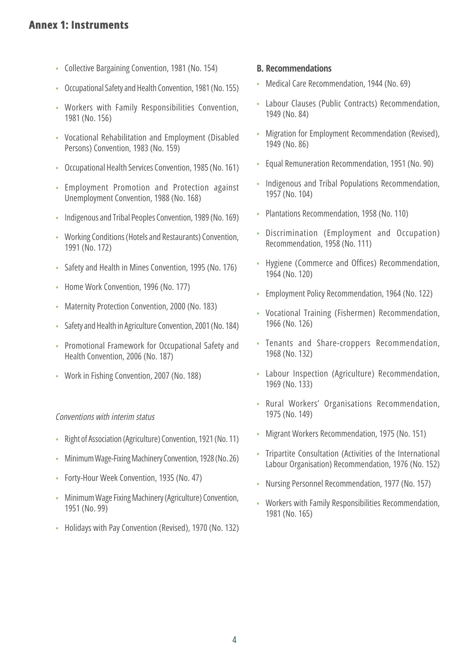# **Annex 1: Instruments**

- **•** [Collective Bargaining Convention, 1981 \(No. 154\)](http://www.ilo.org/dyn/normlex/en/f?p=NORMLEXPUB:12100:0::NO:12100:P12100_INSTRUMENT_ID:312299:NO)
- **•** [Occupational Safety and Health Convention, 1981 \(No. 155\)](http://www.ilo.org/dyn/normlex/en/f?p=NORMLEXPUB:12100:0::NO:12100:P12100_INSTRUMENT_ID:312300:NO)
- **•** [Workers with Family Responsibilities Convention,](http://www.ilo.org/dyn/normlex/en/f?p=NORMLEXPUB:12100:0::NO:12100:P12100_INSTRUMENT_ID:312301:NO) [1981 \(No. 156\)](http://www.ilo.org/dyn/normlex/en/f?p=NORMLEXPUB:12100:0::NO:12100:P12100_INSTRUMENT_ID:312301:NO)
- **•** [Vocational Rehabilitation and Employment \(Disabled](http://www.ilo.org/dyn/normlex/en/f?p=NORMLEXPUB:12100:0::NO:12100:P12100_INSTRUMENT_ID:312304:NO) [Persons\) Convention, 1983 \(No. 159\)](http://www.ilo.org/dyn/normlex/en/f?p=NORMLEXPUB:12100:0::NO:12100:P12100_INSTRUMENT_ID:312304:NO)
- **•** [Occupational Health Services Convention, 1985 \(No. 161\)](http://www.ilo.org/dyn/normlex/en/f?p=NORMLEXPUB:12100:0::NO:12100:P12100_INSTRUMENT_ID:312306:NO)
- **•** [Employment Promotion and Protection against](http://www.ilo.org/dyn/normlex/en/f?p=NORMLEXPUB:12100:0::NO:12100:P12100_INSTRUMENT_ID:312313:NO) [Unemployment Convention, 1988 \(No. 168\)](http://www.ilo.org/dyn/normlex/en/f?p=NORMLEXPUB:12100:0::NO:12100:P12100_INSTRUMENT_ID:312313:NO)
- **•** [Indigenous and Tribal Peoples Convention, 1989 \(No. 169\)](http://www.ilo.org/dyn/normlex/en/f?p=NORMLEXPUB:12100:0::NO:12100:P12100_INSTRUMENT_ID:312314:NO)
- **•** [Working Conditions \(Hotels and Restaurants\) Convention,](http://www.ilo.org/dyn/normlex/en/f?p=NORMLEXPUB:12100:0::NO:12100:P12100_INSTRUMENT_ID:312317:NO) [1991 \(No. 172\)](http://www.ilo.org/dyn/normlex/en/f?p=NORMLEXPUB:12100:0::NO:12100:P12100_INSTRUMENT_ID:312317:NO)
- **•** [Safety and Health in Mines Convention, 1995 \(No. 176\)](http://www.ilo.org/dyn/normlex/en/f?p=NORMLEXPUB:12100:0::NO::P12100_ILO_CODE:C176)
- **•** [Home Work Convention, 1996 \(No. 177\)](http://www.ilo.org/dyn/normlex/en/f?p=NORMLEXPUB:12100:0::NO:12100:P12100_INSTRUMENT_ID:312322:NO)
- **•** [Maternity Protection Convention, 2000 \(No. 183\)](http://www.ilo.org/dyn/normlex/en/f?p=NORMLEXPUB:12100:0::NO:12100:P12100_INSTRUMENT_ID:312328:NO)
- **•** [Safety and Health in Agriculture Convention, 2001 \(No. 184\)](http://www.ilo.org/dyn/normlex/en/f?p=NORMLEXPUB:12100:0::NO:12100:P12100_INSTRUMENT_ID:312329:NO)
- **•** [Promotional Framework for Occupational Safety and](http://www.ilo.org/dyn/normlex/en/f?p=NORMLEXPUB:12100:0::NO:12100:P12100_INSTRUMENT_ID:312332:NO) [Health Convention, 2006 \(No. 187\)](http://www.ilo.org/dyn/normlex/en/f?p=NORMLEXPUB:12100:0::NO:12100:P12100_INSTRUMENT_ID:312332:NO)
- **•** [Work in Fishing Convention, 2007 \(No. 188\)](http://www.ilo.org/dyn/normlex/en/f?p=NORMLEXPUB:12100:0::NO:12100:P12100_INSTRUMENT_ID:312333:NO)

#### *Conventions with interim status*

- **•** [Right of Association \(Agriculture\) Convention, 1921 \(No. 11\)](http://www.ilo.org/dyn/normlex/en/f?p=NORMLEXPUB:12100:0::NO:12100:P12100_INSTRUMENT_ID:312156:NO)
- **•** [Minimum Wage-Fixing Machinery Convention, 1928 \(No. 26\)](http://www.ilo.org/dyn/normlex/en/f?p=NORMLEXPUB:12100:0::NO:12100:P12100_INSTRUMENT_ID:312171:NO)
- **•** [Forty-Hour Week Convention, 1935 \(No. 47\)](http://www.ilo.org/dyn/normlex/en/f?p=NORMLEXPUB:12100:0::NO:12100:P12100_INSTRUMENT_ID:312192:NO)
- **•** [Minimum Wage Fixing Machinery \(Agriculture\) Convention,](http://www.ilo.org/dyn/normlex/en/f?p=NORMLEXPUB:12100:0::NO:12100:P12100_INSTRUMENT_ID:312244:NO) [1951 \(No. 99\)](http://www.ilo.org/dyn/normlex/en/f?p=NORMLEXPUB:12100:0::NO:12100:P12100_INSTRUMENT_ID:312244:NO)
- **•** [Holidays with Pay Convention \(Revised\), 1970 \(No. 132\)](http://www.ilo.org/dyn/normlex/en/f?p=NORMLEXPUB:12100:0::NO:12100:P12100_INSTRUMENT_ID:312277:NO)

#### **B. Recommendations**

- **•** [Medical Care Recommendation, 1944 \(No. 69\)](http://www.ilo.org/dyn/normlex/en/f?p=NORMLEXPUB:12100:0::NO:12100:P12100_INSTRUMENT_ID:312407:NO)
- **•** [Labour Clauses \(Public Contracts\) Recommendation,](http://www.ilo.org/dyn/normlex/en/f?p=NORMLEXPUB:12100:0::NO:12100:P12100_INSTRUMENT_ID:312422:NO) [1949 \(No. 84\)](http://www.ilo.org/dyn/normlex/en/f?p=NORMLEXPUB:12100:0::NO:12100:P12100_INSTRUMENT_ID:312422:NO)
- **•** [Migration for Employment Recommendation \(Revised\),](http://www.ilo.org/dyn/normlex/en/f?p=NORMLEXPUB:12100:0::NO:12100:P12100_INSTRUMENT_ID:312424:NO) [1949 \(No. 86\)](http://www.ilo.org/dyn/normlex/en/f?p=NORMLEXPUB:12100:0::NO:12100:P12100_INSTRUMENT_ID:312424:NO)
- **•** [Equal Remuneration Recommendation, 1951 \(No. 90\)](http://www.ilo.org/dyn/normlex/en/f?p=NORMLEXPUB:12100:0::NO:12100:P12100_INSTRUMENT_ID:312428:NO)
- **•** [Indigenous and Tribal Populations Recommendation,](http://www.ilo.org/dyn/normlex/en/f?p=NORMLEXPUB:12100:0::NO:12100:P12100_INSTRUMENT_ID:312442:NO) [1957 \(No. 104\)](http://www.ilo.org/dyn/normlex/en/f?p=NORMLEXPUB:12100:0::NO:12100:P12100_INSTRUMENT_ID:312442:NO)
- **•** [Plantations Recommendation, 1958 \(No. 110\)](http://www.ilo.org/dyn/normlex/en/f?p=NORMLEXPUB:12100:0::NO:12100:P12100_INSTRUMENT_ID:312448:NO)
- **•** [Discrimination \(Employment and Occupation\)](http://www.ilo.org/dyn/normlex/en/f?p=NORMLEXPUB:12100:0::NO:12100:P12100_INSTRUMENT_ID:312449:NO) [Recommendation, 1958 \(No. 111\)](http://www.ilo.org/dyn/normlex/en/f?p=NORMLEXPUB:12100:0::NO:12100:P12100_INSTRUMENT_ID:312449:NO)
- **•** [Hygiene \(Commerce and Offices\) Recommendation,](http://www.ilo.org/dyn/normlex/en/f?p=NORMLEXPUB:12100:0::NO:12100:P12100_INSTRUMENT_ID:312458:NO) [1964 \(No. 120\)](http://www.ilo.org/dyn/normlex/en/f?p=NORMLEXPUB:12100:0::NO:12100:P12100_INSTRUMENT_ID:312458:NO)
- **•** [Employment Policy Recommendation, 1964 \(No. 122\)](http://www.ilo.org/dyn/normlex/en/f?p=NORMLEXPUB:12100:0::NO:12100:P12100_INSTRUMENT_ID:312460:NO)
- **•** [Vocational Training \(Fishermen\) Recommendation,](http://www.ilo.org/dyn/normlex/en/f?p=NORMLEXPUB:12100:0::NO:12100:P12100_INSTRUMENT_ID:312464:NO) [1966 \(No. 126\)](http://www.ilo.org/dyn/normlex/en/f?p=NORMLEXPUB:12100:0::NO:12100:P12100_INSTRUMENT_ID:312464:NO)
- **•** [Tenants and Share-croppers Recommendation,](http://www.ilo.org/dyn/normlex/en/f?p=NORMLEXPUB:12100:0::NO:12100:P12100_INSTRUMENT_ID:312470:NO) [1968 \(No. 132\)](http://www.ilo.org/dyn/normlex/en/f?p=NORMLEXPUB:12100:0::NO:12100:P12100_INSTRUMENT_ID:312470:NO)
- **•** [Labour Inspection \(Agriculture\) Recommendation,](http://www.ilo.org/dyn/normlex/en/f?p=NORMLEXPUB:12100:0::NO:12100:P12100_INSTRUMENT_ID:312471:NO) [1969 \(No. 133\)](http://www.ilo.org/dyn/normlex/en/f?p=NORMLEXPUB:12100:0::NO:12100:P12100_INSTRUMENT_ID:312471:NO)
- **•** [Rural Workers' Organisations Recommendation,](http://www.ilo.org/dyn/normlex/en/f?p=NORMLEXPUB:12100:0::NO:12100:P12100_INSTRUMENT_ID:312487:NO) [1975 \(No. 149\)](http://www.ilo.org/dyn/normlex/en/f?p=NORMLEXPUB:12100:0::NO:12100:P12100_INSTRUMENT_ID:312487:NO)
- **•** [Migrant Workers Recommendation, 1975 \(No. 151\)](http://www.ilo.org/dyn/normlex/en/f?p=NORMLEXPUB:12100:0::NO:12100:P12100_INSTRUMENT_ID:312489:NO)
- **•** [Tripartite Consultation \(Activities of the International](http://www.ilo.org/dyn/normlex/en/f?p=NORMLEXPUB:12100:0::NO:12100:P12100_INSTRUMENT_ID:312490:NO) [Labour Organisation\) Recommendation, 1976 \(No. 152\)](http://www.ilo.org/dyn/normlex/en/f?p=NORMLEXPUB:12100:0::NO:12100:P12100_INSTRUMENT_ID:312490:NO)
- **•** [Nursing Personnel Recommendation, 1977 \(No. 157\)](http://www.ilo.org/dyn/normlex/en/f?p=NORMLEXPUB:12100:0::NO:12100:P12100_INSTRUMENT_ID:312495:NO)
- **•** [Workers with Family Responsibilities Recommendation,](http://www.ilo.org/dyn/normlex/en/f?p=NORMLEXPUB:12100:0::NO:12100:P12100_INSTRUMENT_ID:312503:NO) [1981 \(No. 165\)](http://www.ilo.org/dyn/normlex/en/f?p=NORMLEXPUB:12100:0::NO:12100:P12100_INSTRUMENT_ID:312503:NO)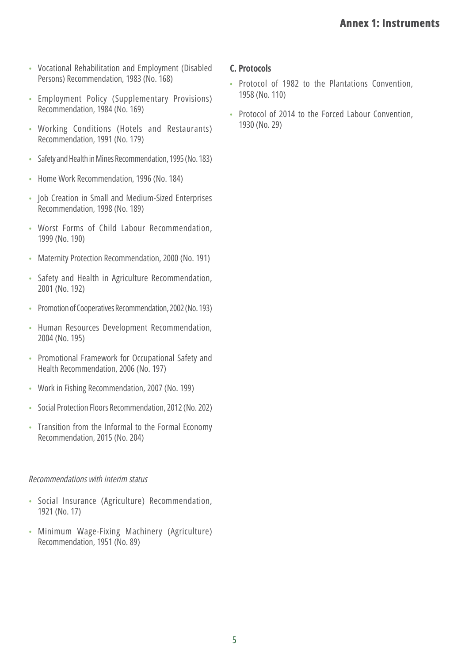- **•** [Vocational Rehabilitation and Employment \(Disabled](http://www.ilo.org/dyn/normlex/en/f?p=NORMLEXPUB:12100:0::NO:12100:P12100_INSTRUMENT_ID:312506:NO) [Persons\) Recommendation, 1983 \(No. 168\)](http://www.ilo.org/dyn/normlex/en/f?p=NORMLEXPUB:12100:0::NO:12100:P12100_INSTRUMENT_ID:312506:NO)
- **•** [Employment Policy \(Supplementary Provisions\)](http://www.ilo.org/dyn/normlex/en/f?p=NORMLEXPUB:12100:0::NO:12100:P12100_INSTRUMENT_ID:312507:NO) [Recommendation, 1984 \(No. 169\)](http://www.ilo.org/dyn/normlex/en/f?p=NORMLEXPUB:12100:0::NO:12100:P12100_INSTRUMENT_ID:312507:NO)
- **•** [Working Conditions \(Hotels and Restaurants\)](http://www.ilo.org/dyn/normlex/en/f?p=NORMLEXPUB:12100:0::NO:12100:P12100_INSTRUMENT_ID:312517:NO) [Recommendation, 1991 \(No. 179\)](http://www.ilo.org/dyn/normlex/en/f?p=NORMLEXPUB:12100:0::NO:12100:P12100_INSTRUMENT_ID:312517:NO)
- **•** [Safety and Health in Mines Recommendation, 1995 \(No. 183\)](http://www.ilo.org/dyn/normlex/en/f?p=NORMLEXPUB:12100:0::NO:12100:P12100_INSTRUMENT_ID:312521:NO)
- **•** [Home Work Recommendation, 1996 \(No. 184\)](http://www.ilo.org/dyn/normlex/en/f?p=NORMLEXPUB:12100:0::NO:12100:P12100_INSTRUMENT_ID:312522:NO)
- **•** [Job Creation in Small and Medium-Sized Enterprises](http://www.ilo.org/dyn/normlex/en/f?p=NORMLEXPUB:12100:0::NO:12100:P12100_INSTRUMENT_ID:312527:NO) [Recommendation, 1998 \(No. 189\)](http://www.ilo.org/dyn/normlex/en/f?p=NORMLEXPUB:12100:0::NO:12100:P12100_INSTRUMENT_ID:312527:NO)
- **•** [Worst Forms of Child Labour Recommendation,](http://www.ilo.org/dyn/normlex/en/f?p=NORMLEXPUB:12100:0::NO:12100:P12100_INSTRUMENT_ID:312528:NO) [1999 \(No. 190\)](http://www.ilo.org/dyn/normlex/en/f?p=NORMLEXPUB:12100:0::NO:12100:P12100_INSTRUMENT_ID:312528:NO)
- **•** [Maternity Protection Recommendation, 2000 \(No. 191\)](http://www.ilo.org/dyn/normlex/en/f?p=NORMLEXPUB:12100:0::NO:12100:P12100_INSTRUMENT_ID:312529:NO)
- **•** [Safety and Health in Agriculture Recommendation,](http://www.ilo.org/dyn/normlex/en/f?p=NORMLEXPUB:12100:0::NO:12100:P12100_INSTRUMENT_ID:312530:NO) [2001 \(No. 192\)](http://www.ilo.org/dyn/normlex/en/f?p=NORMLEXPUB:12100:0::NO:12100:P12100_INSTRUMENT_ID:312530:NO)
- **•** [Promotion of Cooperatives Recommendation, 2002 \(No. 193\)](http://www.ilo.org/dyn/normlex/en/f?p=NORMLEXPUB:12100:0::NO:12100:P12100_INSTRUMENT_ID:312531:NO)
- **•** [Human Resources Development Recommendation,](http://www.ilo.org/dyn/normlex/en/f?p=NORMLEXPUB:12100:0::NO:12100:P12100_INSTRUMENT_ID:312533:NO) [2004 \(No. 195\)](http://www.ilo.org/dyn/normlex/en/f?p=NORMLEXPUB:12100:0::NO:12100:P12100_INSTRUMENT_ID:312533:NO)
- **•** [Promotional Framework for Occupational Safety and](http://www.ilo.org/dyn/normlex/en/f?p=NORMLEXPUB:12100:0::NO:12100:P12100_INSTRUMENT_ID:312534:NO) [Health Recommendation, 2006 \(No. 197\)](http://www.ilo.org/dyn/normlex/en/f?p=NORMLEXPUB:12100:0::NO:12100:P12100_INSTRUMENT_ID:312534:NO)
- **•** [Work in Fishing Recommendation, 2007 \(No. 199\)](http://www.ilo.org/dyn/normlex/en/f?p=NORMLEXPUB:12100:0::NO:12100:P12100_INSTRUMENT_ID:312536:NO)
- **•** [Social Protection Floors Recommendation, 2012 \(No. 202\)](http://www.ilo.org/dyn/normlex/en/f?p=NORMLEXPUB:12100:0::NO:12100:P12100_INSTRUMENT_ID:3065524:NO)
- **•** [Transition from the Informal to the Formal Economy](http://www.ilo.org/dyn/normlex/en/f?p=NORMLEXPUB:12100:0::NO:12100:P12100_INSTRUMENT_ID:3243110:NO) [Recommendation, 2015 \(No. 204\)](http://www.ilo.org/dyn/normlex/en/f?p=NORMLEXPUB:12100:0::NO:12100:P12100_INSTRUMENT_ID:3243110:NO)

#### *Recommendations with interim status*

- **•** [Social Insurance \(Agriculture\) Recommendation,](http://www.ilo.org/dyn/normlex/en/f?p=NORMLEXPUB:12100:0::NO:12100:P12100_INSTRUMENT_ID:312355:NO) [1921 \(No. 17\)](http://www.ilo.org/dyn/normlex/en/f?p=NORMLEXPUB:12100:0::NO:12100:P12100_INSTRUMENT_ID:312355:NO)
- **•** [Minimum Wage-Fixing Machinery \(Agriculture\)](http://www.ilo.org/dyn/normlex/en/f?p=NORMLEXPUB:12100:0::NO:12100:P12100_INSTRUMENT_ID:312427:NO) [Recommendation, 1951 \(No. 89\)](http://www.ilo.org/dyn/normlex/en/f?p=NORMLEXPUB:12100:0::NO:12100:P12100_INSTRUMENT_ID:312427:NO)

#### **C. Protocols**

- **•** [Protocol of 1982 to the Plantations Convention,](http://www.ilo.org/dyn/normlex/en/f?p=NORMLEXPUB:12100:0::NO:12100:P12100_INSTRUMENT_ID:312336:NO) [1958 \(No. 110\)](http://www.ilo.org/dyn/normlex/en/f?p=NORMLEXPUB:12100:0::NO:12100:P12100_INSTRUMENT_ID:312336:NO)
- **•** [Protocol of 2014 to the Forced Labour Convention,](http://www.ilo.org/dyn/normlex/en/f?p=NORMLEXPUB:12100:0::NO:12100:P12100_INSTRUMENT_ID:3174672:NO) [1930 \(No. 29\)](http://www.ilo.org/dyn/normlex/en/f?p=NORMLEXPUB:12100:0::NO:12100:P12100_INSTRUMENT_ID:3174672:NO)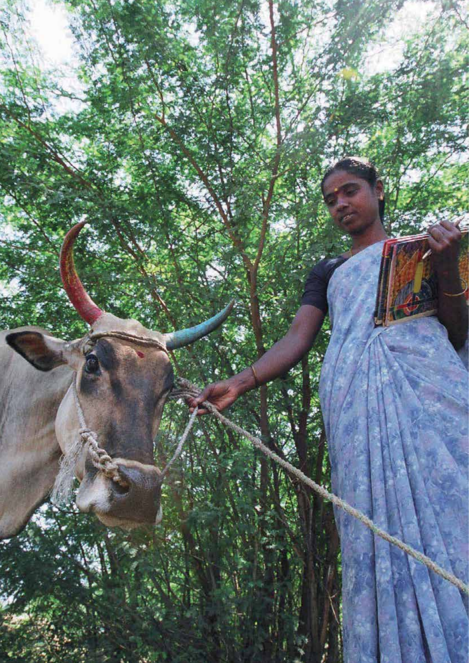